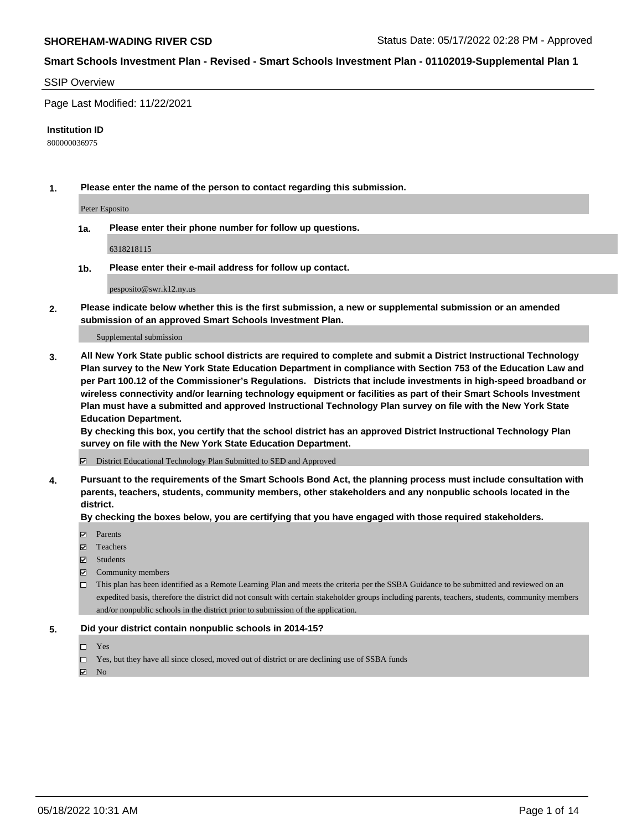#### SSIP Overview

Page Last Modified: 11/22/2021

#### **Institution ID**

800000036975

**1. Please enter the name of the person to contact regarding this submission.**

Peter Esposito

**1a. Please enter their phone number for follow up questions.**

6318218115

**1b. Please enter their e-mail address for follow up contact.**

pesposito@swr.k12.ny.us

**2. Please indicate below whether this is the first submission, a new or supplemental submission or an amended submission of an approved Smart Schools Investment Plan.**

Supplemental submission

**3. All New York State public school districts are required to complete and submit a District Instructional Technology Plan survey to the New York State Education Department in compliance with Section 753 of the Education Law and per Part 100.12 of the Commissioner's Regulations. Districts that include investments in high-speed broadband or wireless connectivity and/or learning technology equipment or facilities as part of their Smart Schools Investment Plan must have a submitted and approved Instructional Technology Plan survey on file with the New York State Education Department.** 

**By checking this box, you certify that the school district has an approved District Instructional Technology Plan survey on file with the New York State Education Department.**

District Educational Technology Plan Submitted to SED and Approved

**4. Pursuant to the requirements of the Smart Schools Bond Act, the planning process must include consultation with parents, teachers, students, community members, other stakeholders and any nonpublic schools located in the district.** 

**By checking the boxes below, you are certifying that you have engaged with those required stakeholders.**

- **□** Parents
- Teachers
- Students
- $\Xi$  Community members
- This plan has been identified as a Remote Learning Plan and meets the criteria per the SSBA Guidance to be submitted and reviewed on an expedited basis, therefore the district did not consult with certain stakeholder groups including parents, teachers, students, community members and/or nonpublic schools in the district prior to submission of the application.

## **5. Did your district contain nonpublic schools in 2014-15?**

- Yes
- $\Box$  Yes, but they have all since closed, moved out of district or are declining use of SSBA funds

 $\boxtimes$  No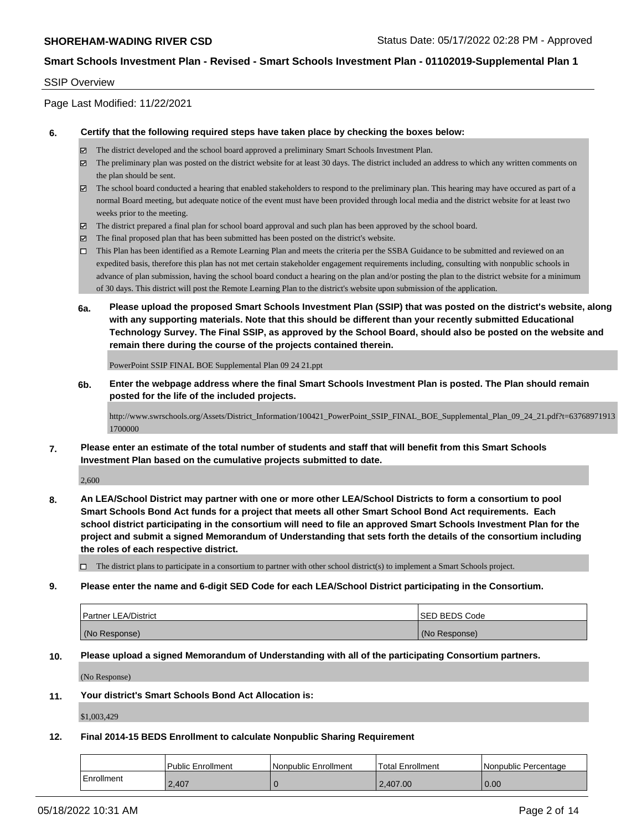## SSIP Overview

Page Last Modified: 11/22/2021

#### **6. Certify that the following required steps have taken place by checking the boxes below:**

- The district developed and the school board approved a preliminary Smart Schools Investment Plan.
- $\boxtimes$  The preliminary plan was posted on the district website for at least 30 days. The district included an address to which any written comments on the plan should be sent.
- $\boxtimes$  The school board conducted a hearing that enabled stakeholders to respond to the preliminary plan. This hearing may have occured as part of a normal Board meeting, but adequate notice of the event must have been provided through local media and the district website for at least two weeks prior to the meeting.
- The district prepared a final plan for school board approval and such plan has been approved by the school board.
- $\boxtimes$  The final proposed plan that has been submitted has been posted on the district's website.
- This Plan has been identified as a Remote Learning Plan and meets the criteria per the SSBA Guidance to be submitted and reviewed on an expedited basis, therefore this plan has not met certain stakeholder engagement requirements including, consulting with nonpublic schools in advance of plan submission, having the school board conduct a hearing on the plan and/or posting the plan to the district website for a minimum of 30 days. This district will post the Remote Learning Plan to the district's website upon submission of the application.
- **6a. Please upload the proposed Smart Schools Investment Plan (SSIP) that was posted on the district's website, along with any supporting materials. Note that this should be different than your recently submitted Educational Technology Survey. The Final SSIP, as approved by the School Board, should also be posted on the website and remain there during the course of the projects contained therein.**

PowerPoint SSIP FINAL BOE Supplemental Plan 09 24 21.ppt

**6b. Enter the webpage address where the final Smart Schools Investment Plan is posted. The Plan should remain posted for the life of the included projects.**

http://www.swrschools.org/Assets/District\_Information/100421\_PowerPoint\_SSIP\_FINAL\_BOE\_Supplemental\_Plan\_09\_24\_21.pdf?t=63768971913 1700000

**7. Please enter an estimate of the total number of students and staff that will benefit from this Smart Schools Investment Plan based on the cumulative projects submitted to date.**

2,600

**8. An LEA/School District may partner with one or more other LEA/School Districts to form a consortium to pool Smart Schools Bond Act funds for a project that meets all other Smart School Bond Act requirements. Each school district participating in the consortium will need to file an approved Smart Schools Investment Plan for the project and submit a signed Memorandum of Understanding that sets forth the details of the consortium including the roles of each respective district.**

 $\Box$  The district plans to participate in a consortium to partner with other school district(s) to implement a Smart Schools project.

#### **9. Please enter the name and 6-digit SED Code for each LEA/School District participating in the Consortium.**

| <b>Partner LEA/District</b> | <b>ISED BEDS Code</b> |
|-----------------------------|-----------------------|
| (No Response)               | (No Response)         |

## **10. Please upload a signed Memorandum of Understanding with all of the participating Consortium partners.**

(No Response)

#### **11. Your district's Smart Schools Bond Act Allocation is:**

\$1,003,429

# **12. Final 2014-15 BEDS Enrollment to calculate Nonpublic Sharing Requirement**

|            | l Public Enrollment | Nonpublic Enrollment | <b>Total Enrollment</b> | Nonpublic Percentage |
|------------|---------------------|----------------------|-------------------------|----------------------|
| Enrollment | 2.407               |                      | 2.407.00                | 0.00                 |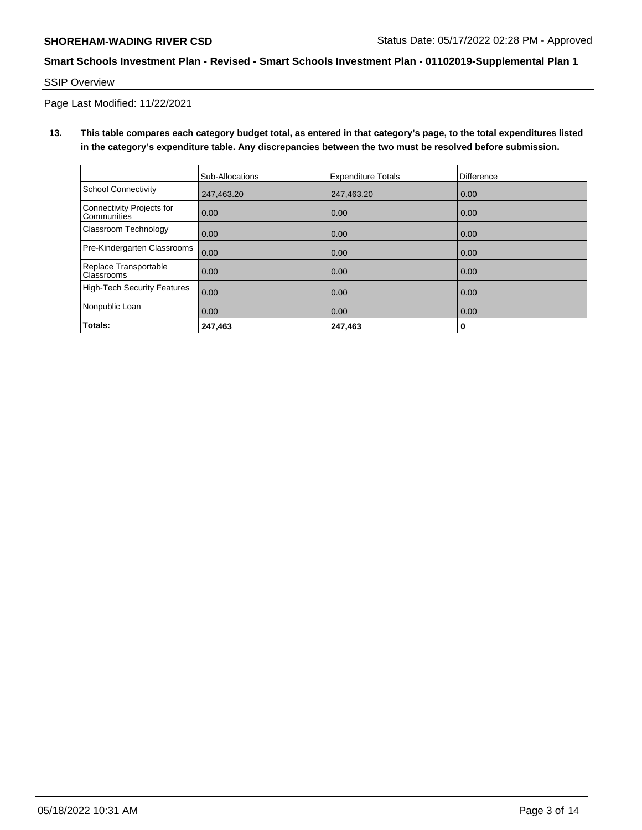SSIP Overview

Page Last Modified: 11/22/2021

**13. This table compares each category budget total, as entered in that category's page, to the total expenditures listed in the category's expenditure table. Any discrepancies between the two must be resolved before submission.**

|                                                 | Sub-Allocations | <b>Expenditure Totals</b> | <b>Difference</b> |
|-------------------------------------------------|-----------------|---------------------------|-------------------|
| School Connectivity                             | 247,463.20      | 247,463.20                | 0.00              |
| Connectivity Projects for<br><b>Communities</b> | 0.00            | 0.00                      | 0.00              |
| Classroom Technology                            | 0.00            | 0.00                      | 0.00              |
| Pre-Kindergarten Classrooms                     | 0.00            | 0.00                      | 0.00              |
| Replace Transportable<br>Classrooms             | 0.00            | 0.00                      | 0.00              |
| High-Tech Security Features                     | 0.00            | 0.00                      | 0.00              |
| Nonpublic Loan                                  | 0.00            | 0.00                      | 0.00              |
| Totals:                                         | 247,463         | 247,463                   | 0                 |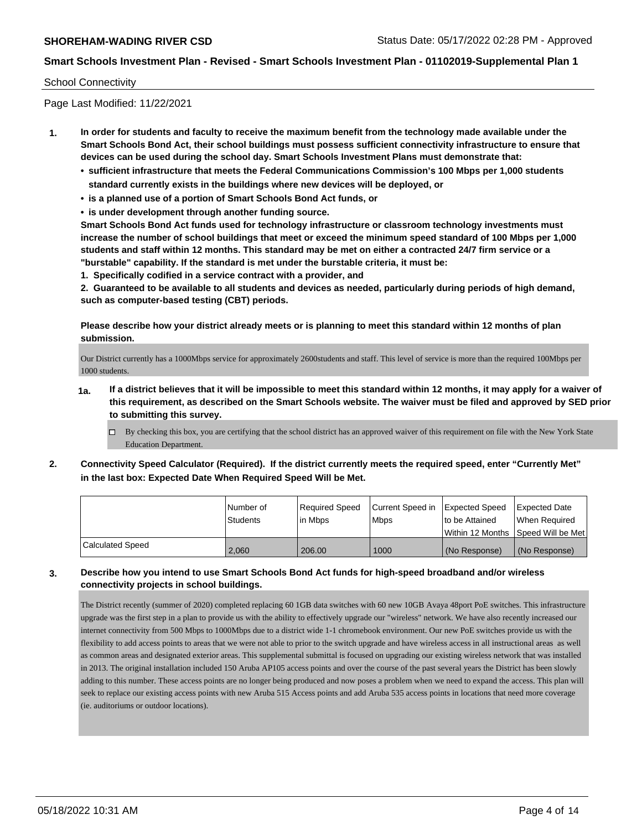## School Connectivity

Page Last Modified: 11/22/2021

- **1. In order for students and faculty to receive the maximum benefit from the technology made available under the Smart Schools Bond Act, their school buildings must possess sufficient connectivity infrastructure to ensure that devices can be used during the school day. Smart Schools Investment Plans must demonstrate that:**
	- **• sufficient infrastructure that meets the Federal Communications Commission's 100 Mbps per 1,000 students standard currently exists in the buildings where new devices will be deployed, or**
	- **• is a planned use of a portion of Smart Schools Bond Act funds, or**
	- **• is under development through another funding source.**

**Smart Schools Bond Act funds used for technology infrastructure or classroom technology investments must increase the number of school buildings that meet or exceed the minimum speed standard of 100 Mbps per 1,000 students and staff within 12 months. This standard may be met on either a contracted 24/7 firm service or a "burstable" capability. If the standard is met under the burstable criteria, it must be:**

**1. Specifically codified in a service contract with a provider, and**

**2. Guaranteed to be available to all students and devices as needed, particularly during periods of high demand, such as computer-based testing (CBT) periods.**

**Please describe how your district already meets or is planning to meet this standard within 12 months of plan submission.**

Our District currently has a 1000Mbps service for approximately 2600students and staff. This level of service is more than the required 100Mbps per 1000 students.

- **1a. If a district believes that it will be impossible to meet this standard within 12 months, it may apply for a waiver of this requirement, as described on the Smart Schools website. The waiver must be filed and approved by SED prior to submitting this survey.**
	- By checking this box, you are certifying that the school district has an approved waiver of this requirement on file with the New York State Education Department.
- **2. Connectivity Speed Calculator (Required). If the district currently meets the required speed, enter "Currently Met" in the last box: Expected Date When Required Speed Will be Met.**

|                  | l Number of | Required Speed | Current Speed in Expected Speed | to be Attained                      | <b>Expected Date</b> |
|------------------|-------------|----------------|---------------------------------|-------------------------------------|----------------------|
|                  | Students    | lin Mbps       | <b>Mbps</b>                     | Within 12 Months 1Speed Will be Met | When Required        |
| Calculated Speed | 2.060       | 206.00         | 1000                            | l (No Response)                     | (No Response)        |

# **3. Describe how you intend to use Smart Schools Bond Act funds for high-speed broadband and/or wireless connectivity projects in school buildings.**

The District recently (summer of 2020) completed replacing 60 1GB data switches with 60 new 10GB Avaya 48port PoE switches. This infrastructure upgrade was the first step in a plan to provide us with the ability to effectively upgrade our "wireless" network. We have also recently increased our internet connectivity from 500 Mbps to 1000Mbps due to a district wide 1-1 chromebook environment. Our new PoE switches provide us with the flexibility to add access points to areas that we were not able to prior to the switch upgrade and have wireless access in all instructional areas as well as common areas and designated exterior areas. This supplemental submittal is focused on upgrading our existing wireless network that was installed in 2013. The original installation included 150 Aruba AP105 access points and over the course of the past several years the District has been slowly adding to this number. These access points are no longer being produced and now poses a problem when we need to expand the access. This plan will seek to replace our existing access points with new Aruba 515 Access points and add Aruba 535 access points in locations that need more coverage (ie. auditoriums or outdoor locations).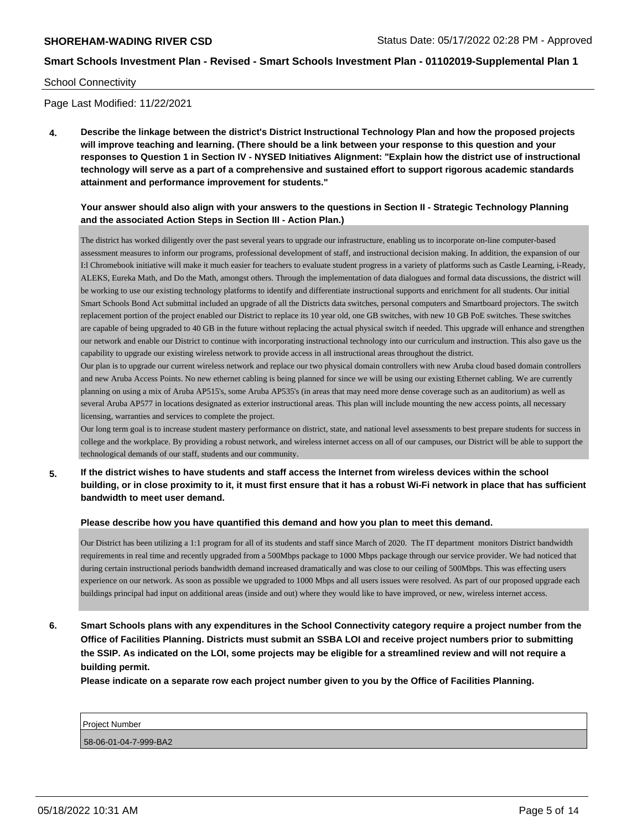#### School Connectivity

Page Last Modified: 11/22/2021

**4. Describe the linkage between the district's District Instructional Technology Plan and how the proposed projects will improve teaching and learning. (There should be a link between your response to this question and your responses to Question 1 in Section IV - NYSED Initiatives Alignment: "Explain how the district use of instructional technology will serve as a part of a comprehensive and sustained effort to support rigorous academic standards attainment and performance improvement for students."** 

# **Your answer should also align with your answers to the questions in Section II - Strategic Technology Planning and the associated Action Steps in Section III - Action Plan.)**

The district has worked diligently over the past several years to upgrade our infrastructure, enabling us to incorporate on-line computer-based assessment measures to inform our programs, professional development of staff, and instructional decision making. In addition, the expansion of our I:l Chromebook initiative will make it much easier for teachers to evaluate student progress in a variety of platforms such as Castle Learning, i-Ready, ALEKS, Eureka Math, and Do the Math, amongst others. Through the implementation of data dialogues and formal data discussions, the district will be working to use our existing technology platforms to identify and differentiate instructional supports and enrichment for all students. Our initial Smart Schools Bond Act submittal included an upgrade of all the Districts data switches, personal computers and Smartboard projectors. The switch replacement portion of the project enabled our District to replace its 10 year old, one GB switches, with new 10 GB PoE switches. These switches are capable of being upgraded to 40 GB in the future without replacing the actual physical switch if needed. This upgrade will enhance and strengthen our network and enable our District to continue with incorporating instructional technology into our curriculum and instruction. This also gave us the capability to upgrade our existing wireless network to provide access in all instructional areas throughout the district.

Our plan is to upgrade our current wireless network and replace our two physical domain controllers with new Aruba cloud based domain controllers and new Aruba Access Points. No new ethernet cabling is being planned for since we will be using our existing Ethernet cabling. We are currently planning on using a mix of Aruba AP515's, some Aruba AP535's (in areas that may need more dense coverage such as an auditorium) as well as several Aruba AP577 in locations designated as exterior instructional areas. This plan will include mounting the new access points, all necessary licensing, warranties and services to complete the project.

Our long term goal is to increase student mastery performance on district, state, and national level assessments to best prepare students for success in college and the workplace. By providing a robust network, and wireless internet access on all of our campuses, our District will be able to support the technological demands of our staff, students and our community.

**5. If the district wishes to have students and staff access the Internet from wireless devices within the school building, or in close proximity to it, it must first ensure that it has a robust Wi-Fi network in place that has sufficient bandwidth to meet user demand.**

#### **Please describe how you have quantified this demand and how you plan to meet this demand.**

Our District has been utilizing a 1:1 program for all of its students and staff since March of 2020. The IT department monitors District bandwidth requirements in real time and recently upgraded from a 500Mbps package to 1000 Mbps package through our service provider. We had noticed that during certain instructional periods bandwidth demand increased dramatically and was close to our ceiling of 500Mbps. This was effecting users experience on our network. As soon as possible we upgraded to 1000 Mbps and all users issues were resolved. As part of our proposed upgrade each buildings principal had input on additional areas (inside and out) where they would like to have improved, or new, wireless internet access.

**6. Smart Schools plans with any expenditures in the School Connectivity category require a project number from the Office of Facilities Planning. Districts must submit an SSBA LOI and receive project numbers prior to submitting the SSIP. As indicated on the LOI, some projects may be eligible for a streamlined review and will not require a building permit.**

**Please indicate on a separate row each project number given to you by the Office of Facilities Planning.**

| l Project<br>: Number |  |  |
|-----------------------|--|--|
| 58-06-01-04-7-999-BA2 |  |  |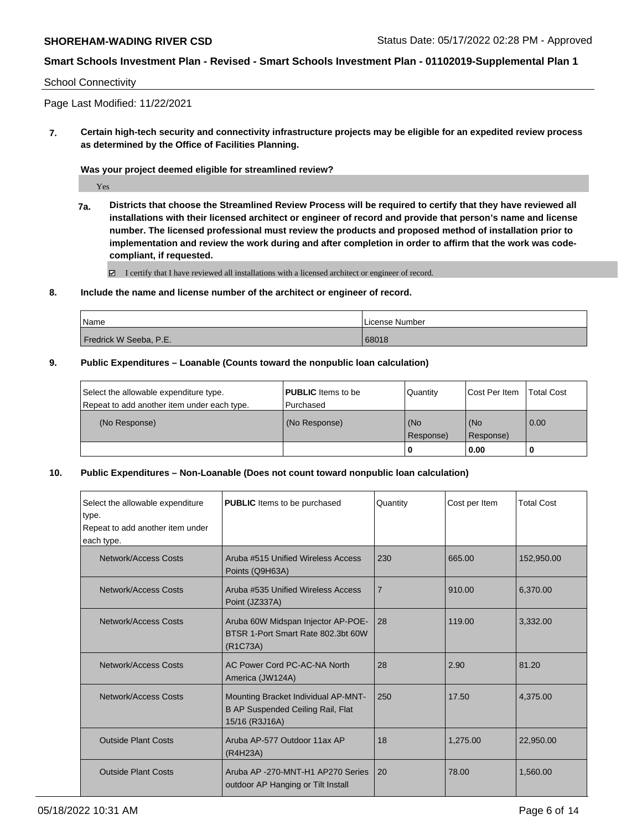## School Connectivity

Page Last Modified: 11/22/2021

**7. Certain high-tech security and connectivity infrastructure projects may be eligible for an expedited review process as determined by the Office of Facilities Planning.**

**Was your project deemed eligible for streamlined review?**

Yes

**7a. Districts that choose the Streamlined Review Process will be required to certify that they have reviewed all installations with their licensed architect or engineer of record and provide that person's name and license number. The licensed professional must review the products and proposed method of installation prior to implementation and review the work during and after completion in order to affirm that the work was codecompliant, if requested.**

■ I certify that I have reviewed all installations with a licensed architect or engineer of record.

## **8. Include the name and license number of the architect or engineer of record.**

| Name                   | License Number |
|------------------------|----------------|
| Fredrick W Seeba, P.E. | 68018          |

## **9. Public Expenditures – Loanable (Counts toward the nonpublic loan calculation)**

| Select the allowable expenditure type.      | <b>PUBLIC</b> Items to be | Quantity         | Cost Per Item    | <b>Total Cost</b> |
|---------------------------------------------|---------------------------|------------------|------------------|-------------------|
| Repeat to add another item under each type. | Purchased                 |                  |                  |                   |
| (No Response)                               | (No Response)             | (No<br>Response) | (No<br>Response) | 0.00              |
|                                             |                           | ' 0              | 0.00             |                   |

## **10. Public Expenditures – Non-Loanable (Does not count toward nonpublic loan calculation)**

| Select the allowable expenditure<br>type.<br>Repeat to add another item under<br>each type. | <b>PUBLIC</b> Items to be purchased                                                                            | Quantity       | Cost per Item | <b>Total Cost</b> |
|---------------------------------------------------------------------------------------------|----------------------------------------------------------------------------------------------------------------|----------------|---------------|-------------------|
| Network/Access Costs                                                                        | Aruba #515 Unified Wireless Access<br>Points (Q9H63A)                                                          | 230            | 665.00        | 152,950.00        |
| Network/Access Costs                                                                        | Aruba #535 Unified Wireless Access<br>Point (JZ337A)                                                           | $\overline{7}$ | 910.00        | 6,370.00          |
| Network/Access Costs                                                                        | Aruba 60W Midspan Injector AP-POE-<br>BTSR 1-Port Smart Rate 802.3bt 60W<br>(R <sub>1</sub> C <sub>73</sub> A) | 28             | 119.00        | 3,332.00          |
| Network/Access Costs                                                                        | AC Power Cord PC-AC-NA North<br>America (JW124A)                                                               | 28             | 2.90          | 81.20             |
| Network/Access Costs                                                                        | Mounting Bracket Individual AP-MNT-<br>B AP Suspended Ceiling Rail, Flat<br>15/16 (R3J16A)                     | 250            | 17.50         | 4,375.00          |
| <b>Outside Plant Costs</b>                                                                  | Aruba AP-577 Outdoor 11ax AP<br>(R4H23A)                                                                       | 18             | 1,275.00      | 22,950.00         |
| <b>Outside Plant Costs</b>                                                                  | Aruba AP -270-MNT-H1 AP270 Series<br>outdoor AP Hanging or Tilt Install                                        | 20             | 78.00         | 1,560.00          |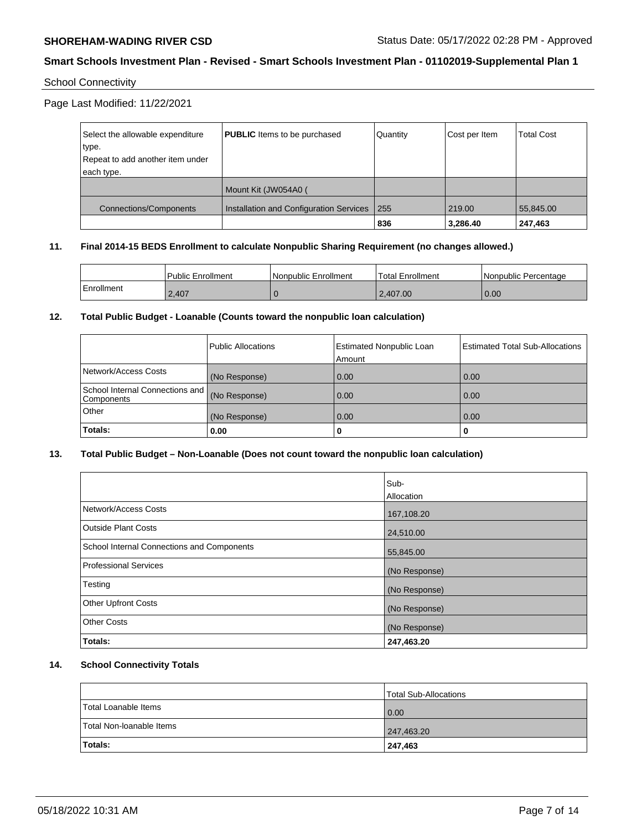# School Connectivity

Page Last Modified: 11/22/2021

| Select the allowable expenditure<br>type. | <b>PUBLIC</b> Items to be purchased     | Quantity | Cost per Item | <b>Total Cost</b> |
|-------------------------------------------|-----------------------------------------|----------|---------------|-------------------|
| Repeat to add another item under          |                                         |          |               |                   |
| each type.                                |                                         |          |               |                   |
|                                           | Mount Kit (JW054A0 (                    |          |               |                   |
| <b>Connections/Components</b>             | Installation and Configuration Services | 255      | 219.00        | 55,845.00         |
|                                           |                                         | 836      | 3,286.40      | 247,463           |

## **11. Final 2014-15 BEDS Enrollment to calculate Nonpublic Sharing Requirement (no changes allowed.)**

|            | <b>Public Enrollment</b> | Nonpublic Enrollment | Total Enrollment | Nonpublic Percentage |
|------------|--------------------------|----------------------|------------------|----------------------|
| Enrollment | 2.407                    |                      | 2.407.00         | 0.00                 |

# **12. Total Public Budget - Loanable (Counts toward the nonpublic loan calculation)**

|                                               | <b>Public Allocations</b> | <b>Estimated Nonpublic Loan</b><br>Amount | <b>Estimated Total Sub-Allocations</b> |
|-----------------------------------------------|---------------------------|-------------------------------------------|----------------------------------------|
| Network/Access Costs                          | (No Response)             | 0.00                                      | 0.00                                   |
| School Internal Connections and<br>Components | (No Response)             | 0.00                                      | 0.00                                   |
| Other                                         | (No Response)             | 0.00                                      | 0.00                                   |
| Totals:                                       | 0.00                      | 0                                         | 0                                      |

# **13. Total Public Budget – Non-Loanable (Does not count toward the nonpublic loan calculation)**

| Sub-<br><b>Allocation</b> |
|---------------------------|
| 167,108.20                |
| 24,510.00                 |
| 55,845.00                 |
| (No Response)             |
| (No Response)             |
| (No Response)             |
| (No Response)             |
| 247,463.20                |
|                           |

# **14. School Connectivity Totals**

|                          | <b>Total Sub-Allocations</b> |
|--------------------------|------------------------------|
| Total Loanable Items     | $\overline{0.00}$            |
| Total Non-Ioanable Items | 247,463.20                   |
| <b>Totals:</b>           | 247,463                      |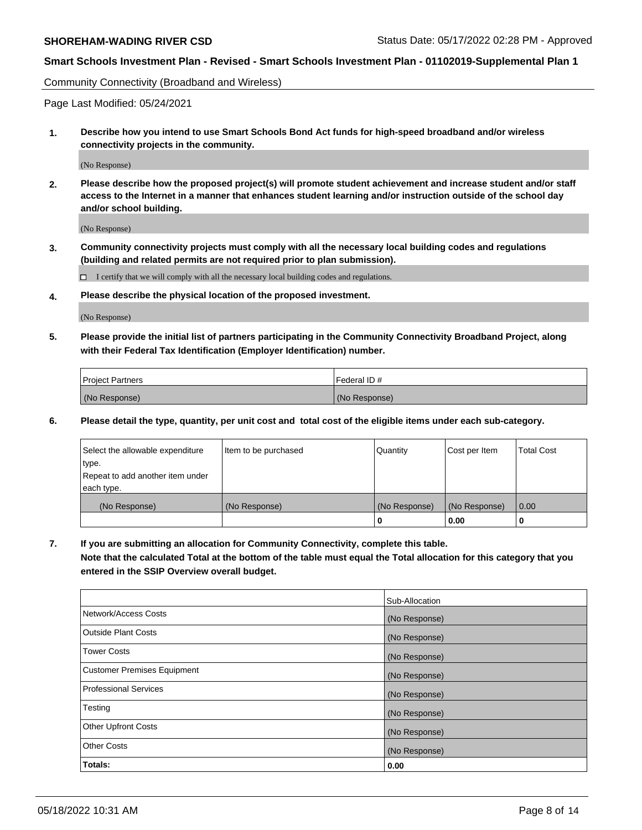Community Connectivity (Broadband and Wireless)

Page Last Modified: 05/24/2021

**1. Describe how you intend to use Smart Schools Bond Act funds for high-speed broadband and/or wireless connectivity projects in the community.**

(No Response)

**2. Please describe how the proposed project(s) will promote student achievement and increase student and/or staff access to the Internet in a manner that enhances student learning and/or instruction outside of the school day and/or school building.**

(No Response)

**3. Community connectivity projects must comply with all the necessary local building codes and regulations (building and related permits are not required prior to plan submission).**

 $\Box$  I certify that we will comply with all the necessary local building codes and regulations.

**4. Please describe the physical location of the proposed investment.**

(No Response)

**5. Please provide the initial list of partners participating in the Community Connectivity Broadband Project, along with their Federal Tax Identification (Employer Identification) number.**

| <b>Project Partners</b> | 'Federal ID # |
|-------------------------|---------------|
| (No Response)           | (No Response) |

**6. Please detail the type, quantity, per unit cost and total cost of the eligible items under each sub-category.**

| Select the allowable expenditure          | Item to be purchased | Quantity      | Cost per Item | <b>Total Cost</b> |
|-------------------------------------------|----------------------|---------------|---------------|-------------------|
| type.<br>Repeat to add another item under |                      |               |               |                   |
| each type.                                |                      |               |               |                   |
| (No Response)                             | (No Response)        | (No Response) | (No Response) | 0.00              |
|                                           |                      | 0             | 0.00          |                   |

**7. If you are submitting an allocation for Community Connectivity, complete this table.**

**Note that the calculated Total at the bottom of the table must equal the Total allocation for this category that you entered in the SSIP Overview overall budget.**

|                             | Sub-Allocation |
|-----------------------------|----------------|
| Network/Access Costs        | (No Response)  |
| Outside Plant Costs         | (No Response)  |
| <b>Tower Costs</b>          | (No Response)  |
| Customer Premises Equipment | (No Response)  |
| Professional Services       | (No Response)  |
| Testing                     | (No Response)  |
| <b>Other Upfront Costs</b>  | (No Response)  |
| <b>Other Costs</b>          | (No Response)  |
| Totals:                     | 0.00           |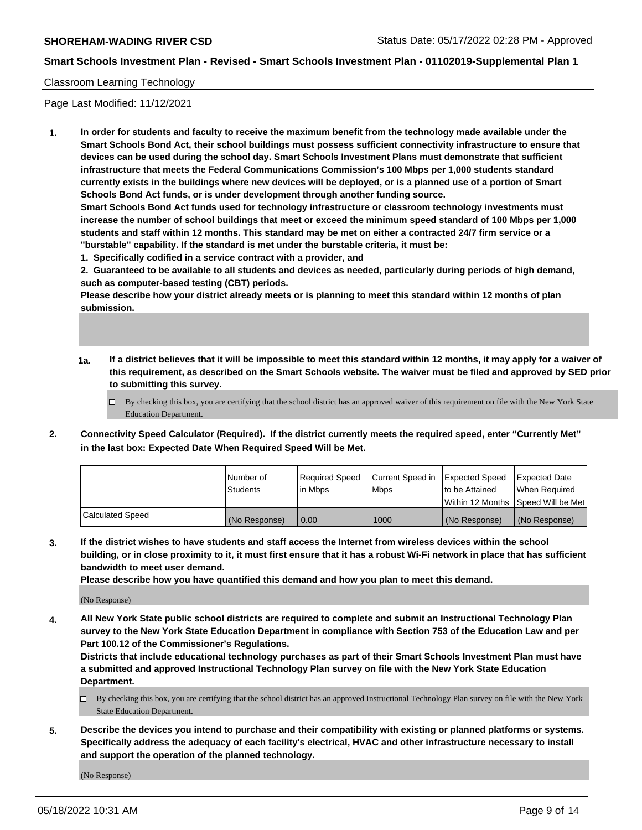# Classroom Learning Technology

Page Last Modified: 11/12/2021

**1. In order for students and faculty to receive the maximum benefit from the technology made available under the Smart Schools Bond Act, their school buildings must possess sufficient connectivity infrastructure to ensure that devices can be used during the school day. Smart Schools Investment Plans must demonstrate that sufficient infrastructure that meets the Federal Communications Commission's 100 Mbps per 1,000 students standard currently exists in the buildings where new devices will be deployed, or is a planned use of a portion of Smart Schools Bond Act funds, or is under development through another funding source.**

**Smart Schools Bond Act funds used for technology infrastructure or classroom technology investments must increase the number of school buildings that meet or exceed the minimum speed standard of 100 Mbps per 1,000 students and staff within 12 months. This standard may be met on either a contracted 24/7 firm service or a "burstable" capability. If the standard is met under the burstable criteria, it must be:**

**1. Specifically codified in a service contract with a provider, and**

**2. Guaranteed to be available to all students and devices as needed, particularly during periods of high demand, such as computer-based testing (CBT) periods.**

**Please describe how your district already meets or is planning to meet this standard within 12 months of plan submission.**

- **1a. If a district believes that it will be impossible to meet this standard within 12 months, it may apply for a waiver of this requirement, as described on the Smart Schools website. The waiver must be filed and approved by SED prior to submitting this survey.**
	- By checking this box, you are certifying that the school district has an approved waiver of this requirement on file with the New York State Education Department.
- **2. Connectivity Speed Calculator (Required). If the district currently meets the required speed, enter "Currently Met" in the last box: Expected Date When Required Speed Will be Met.**

|                  | l Number of   | Required Speed | Current Speed in | Expected Speed | <b>Expected Date</b>                 |
|------------------|---------------|----------------|------------------|----------------|--------------------------------------|
|                  | Students      | l in Mbps      | <b>Mbps</b>      | to be Attained | When Required                        |
|                  |               |                |                  |                | Within 12 Months   Speed Will be Met |
| Calculated Speed | (No Response) | 0.00           | 1000             | (No Response)  | (No Response)                        |

**3. If the district wishes to have students and staff access the Internet from wireless devices within the school building, or in close proximity to it, it must first ensure that it has a robust Wi-Fi network in place that has sufficient bandwidth to meet user demand.**

**Please describe how you have quantified this demand and how you plan to meet this demand.**

(No Response)

**4. All New York State public school districts are required to complete and submit an Instructional Technology Plan survey to the New York State Education Department in compliance with Section 753 of the Education Law and per Part 100.12 of the Commissioner's Regulations.**

**Districts that include educational technology purchases as part of their Smart Schools Investment Plan must have a submitted and approved Instructional Technology Plan survey on file with the New York State Education Department.**

- By checking this box, you are certifying that the school district has an approved Instructional Technology Plan survey on file with the New York State Education Department.
- **5. Describe the devices you intend to purchase and their compatibility with existing or planned platforms or systems. Specifically address the adequacy of each facility's electrical, HVAC and other infrastructure necessary to install and support the operation of the planned technology.**

(No Response)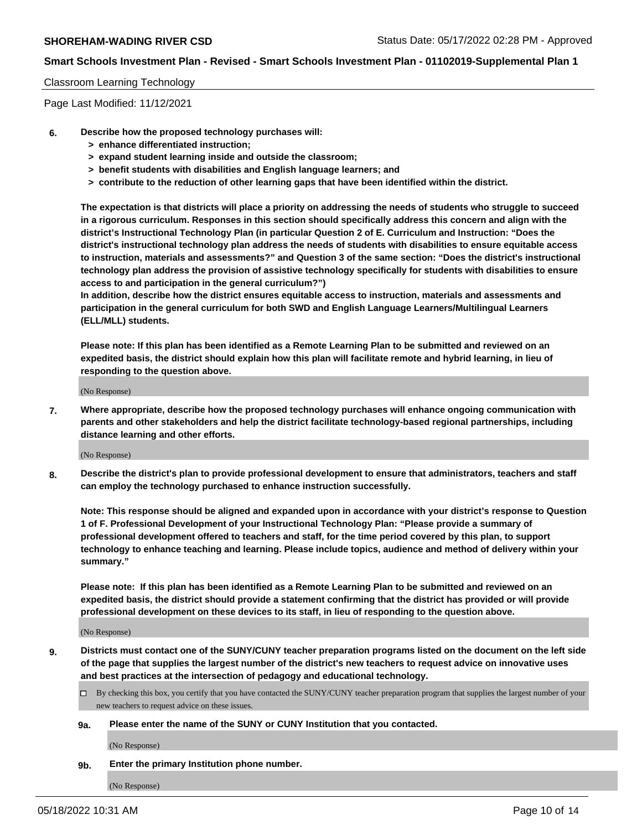# Classroom Learning Technology

Page Last Modified: 11/12/2021

- **6. Describe how the proposed technology purchases will:**
	- **> enhance differentiated instruction;**
	- **> expand student learning inside and outside the classroom;**
	- **> benefit students with disabilities and English language learners; and**
	- **> contribute to the reduction of other learning gaps that have been identified within the district.**

**The expectation is that districts will place a priority on addressing the needs of students who struggle to succeed in a rigorous curriculum. Responses in this section should specifically address this concern and align with the district's Instructional Technology Plan (in particular Question 2 of E. Curriculum and Instruction: "Does the district's instructional technology plan address the needs of students with disabilities to ensure equitable access to instruction, materials and assessments?" and Question 3 of the same section: "Does the district's instructional technology plan address the provision of assistive technology specifically for students with disabilities to ensure access to and participation in the general curriculum?")**

**In addition, describe how the district ensures equitable access to instruction, materials and assessments and participation in the general curriculum for both SWD and English Language Learners/Multilingual Learners (ELL/MLL) students.**

**Please note: If this plan has been identified as a Remote Learning Plan to be submitted and reviewed on an expedited basis, the district should explain how this plan will facilitate remote and hybrid learning, in lieu of responding to the question above.**

(No Response)

**7. Where appropriate, describe how the proposed technology purchases will enhance ongoing communication with parents and other stakeholders and help the district facilitate technology-based regional partnerships, including distance learning and other efforts.**

(No Response)

**8. Describe the district's plan to provide professional development to ensure that administrators, teachers and staff can employ the technology purchased to enhance instruction successfully.**

**Note: This response should be aligned and expanded upon in accordance with your district's response to Question 1 of F. Professional Development of your Instructional Technology Plan: "Please provide a summary of professional development offered to teachers and staff, for the time period covered by this plan, to support technology to enhance teaching and learning. Please include topics, audience and method of delivery within your summary."**

**Please note: If this plan has been identified as a Remote Learning Plan to be submitted and reviewed on an expedited basis, the district should provide a statement confirming that the district has provided or will provide professional development on these devices to its staff, in lieu of responding to the question above.**

(No Response)

**9. Districts must contact one of the SUNY/CUNY teacher preparation programs listed on the document on the left side of the page that supplies the largest number of the district's new teachers to request advice on innovative uses and best practices at the intersection of pedagogy and educational technology.**

- By checking this box, you certify that you have contacted the SUNY/CUNY teacher preparation program that supplies the largest number of your new teachers to request advice on these issues.
- **9a. Please enter the name of the SUNY or CUNY Institution that you contacted.**

(No Response)

**9b. Enter the primary Institution phone number.**

(No Response)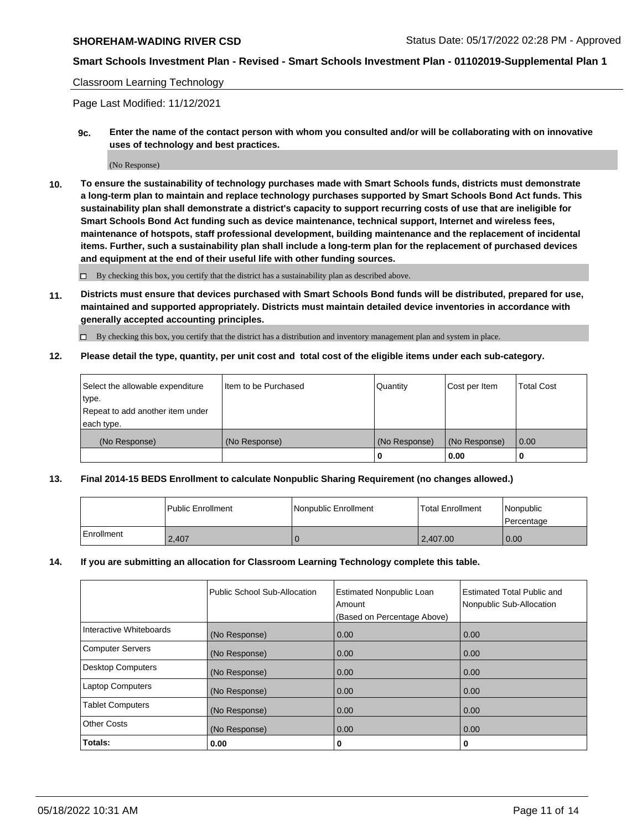## Classroom Learning Technology

Page Last Modified: 11/12/2021

**9c. Enter the name of the contact person with whom you consulted and/or will be collaborating with on innovative uses of technology and best practices.**

(No Response)

**10. To ensure the sustainability of technology purchases made with Smart Schools funds, districts must demonstrate a long-term plan to maintain and replace technology purchases supported by Smart Schools Bond Act funds. This sustainability plan shall demonstrate a district's capacity to support recurring costs of use that are ineligible for Smart Schools Bond Act funding such as device maintenance, technical support, Internet and wireless fees, maintenance of hotspots, staff professional development, building maintenance and the replacement of incidental items. Further, such a sustainability plan shall include a long-term plan for the replacement of purchased devices and equipment at the end of their useful life with other funding sources.**

 $\square$  By checking this box, you certify that the district has a sustainability plan as described above.

**11. Districts must ensure that devices purchased with Smart Schools Bond funds will be distributed, prepared for use, maintained and supported appropriately. Districts must maintain detailed device inventories in accordance with generally accepted accounting principles.**

By checking this box, you certify that the district has a distribution and inventory management plan and system in place.

**12. Please detail the type, quantity, per unit cost and total cost of the eligible items under each sub-category.**

| Select the allowable expenditure | I Item to be Purchased | Quantity      | Cost per Item | Total Cost |
|----------------------------------|------------------------|---------------|---------------|------------|
| type.                            |                        |               |               |            |
| Repeat to add another item under |                        |               |               |            |
| each type.                       |                        |               |               |            |
| (No Response)                    | (No Response)          | (No Response) | (No Response) | 0.00       |
|                                  |                        | u             | 0.00          |            |

## **13. Final 2014-15 BEDS Enrollment to calculate Nonpublic Sharing Requirement (no changes allowed.)**

|            | l Public Enrollment | Nonpublic Enrollment | <b>Total Enrollment</b> | Nonpublic<br>l Percentage |
|------------|---------------------|----------------------|-------------------------|---------------------------|
| Enrollment | 2.407               |                      | 2.407.00                | 0.00                      |

## **14. If you are submitting an allocation for Classroom Learning Technology complete this table.**

|                          | Public School Sub-Allocation | <b>Estimated Nonpublic Loan</b><br>Amount | <b>Estimated Total Public and</b><br>Nonpublic Sub-Allocation |
|--------------------------|------------------------------|-------------------------------------------|---------------------------------------------------------------|
|                          |                              | (Based on Percentage Above)               |                                                               |
| Interactive Whiteboards  | (No Response)                | 0.00                                      | 0.00                                                          |
| <b>Computer Servers</b>  | (No Response)                | 0.00                                      | 0.00                                                          |
| <b>Desktop Computers</b> | (No Response)                | 0.00                                      | 0.00                                                          |
| <b>Laptop Computers</b>  | (No Response)                | 0.00                                      | 0.00                                                          |
| <b>Tablet Computers</b>  | (No Response)                | 0.00                                      | 0.00                                                          |
| <b>Other Costs</b>       | (No Response)                | 0.00                                      | 0.00                                                          |
| Totals:                  | 0.00                         | 0                                         | 0                                                             |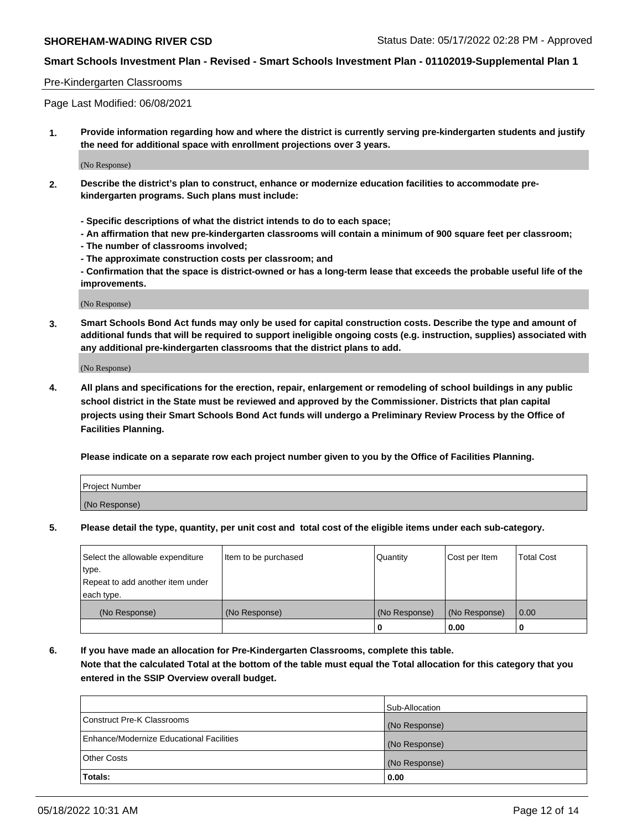## Pre-Kindergarten Classrooms

Page Last Modified: 06/08/2021

**1. Provide information regarding how and where the district is currently serving pre-kindergarten students and justify the need for additional space with enrollment projections over 3 years.**

(No Response)

- **2. Describe the district's plan to construct, enhance or modernize education facilities to accommodate prekindergarten programs. Such plans must include:**
	- **Specific descriptions of what the district intends to do to each space;**
	- **An affirmation that new pre-kindergarten classrooms will contain a minimum of 900 square feet per classroom;**
	- **The number of classrooms involved;**
	- **The approximate construction costs per classroom; and**
	- **Confirmation that the space is district-owned or has a long-term lease that exceeds the probable useful life of the improvements.**

(No Response)

**3. Smart Schools Bond Act funds may only be used for capital construction costs. Describe the type and amount of additional funds that will be required to support ineligible ongoing costs (e.g. instruction, supplies) associated with any additional pre-kindergarten classrooms that the district plans to add.**

(No Response)

**4. All plans and specifications for the erection, repair, enlargement or remodeling of school buildings in any public school district in the State must be reviewed and approved by the Commissioner. Districts that plan capital projects using their Smart Schools Bond Act funds will undergo a Preliminary Review Process by the Office of Facilities Planning.**

**Please indicate on a separate row each project number given to you by the Office of Facilities Planning.**

| Project Number |  |
|----------------|--|
| (No Response)  |  |

**5. Please detail the type, quantity, per unit cost and total cost of the eligible items under each sub-category.**

| Select the allowable expenditure | Item to be purchased | Quantity      | Cost per Item | <b>Total Cost</b> |
|----------------------------------|----------------------|---------------|---------------|-------------------|
| type.                            |                      |               |               |                   |
| Repeat to add another item under |                      |               |               |                   |
| each type.                       |                      |               |               |                   |
| (No Response)                    | (No Response)        | (No Response) | (No Response) | 0.00              |
|                                  |                      | 0             | 0.00          |                   |

**6. If you have made an allocation for Pre-Kindergarten Classrooms, complete this table.**

**Note that the calculated Total at the bottom of the table must equal the Total allocation for this category that you entered in the SSIP Overview overall budget.**

|                                          | Sub-Allocation |
|------------------------------------------|----------------|
| Construct Pre-K Classrooms               | (No Response)  |
| Enhance/Modernize Educational Facilities | (No Response)  |
| <b>Other Costs</b>                       | (No Response)  |
| Totals:                                  | 0.00           |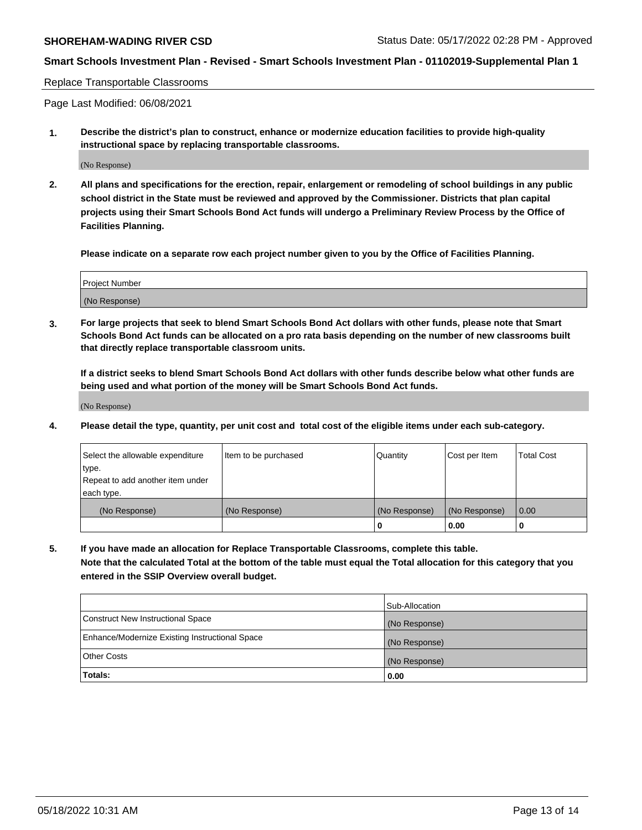Replace Transportable Classrooms

Page Last Modified: 06/08/2021

**1. Describe the district's plan to construct, enhance or modernize education facilities to provide high-quality instructional space by replacing transportable classrooms.**

(No Response)

**2. All plans and specifications for the erection, repair, enlargement or remodeling of school buildings in any public school district in the State must be reviewed and approved by the Commissioner. Districts that plan capital projects using their Smart Schools Bond Act funds will undergo a Preliminary Review Process by the Office of Facilities Planning.**

**Please indicate on a separate row each project number given to you by the Office of Facilities Planning.**

| <b>Project Number</b> |  |
|-----------------------|--|
| (No Response)         |  |

**3. For large projects that seek to blend Smart Schools Bond Act dollars with other funds, please note that Smart Schools Bond Act funds can be allocated on a pro rata basis depending on the number of new classrooms built that directly replace transportable classroom units.**

**If a district seeks to blend Smart Schools Bond Act dollars with other funds describe below what other funds are being used and what portion of the money will be Smart Schools Bond Act funds.**

(No Response)

**4. Please detail the type, quantity, per unit cost and total cost of the eligible items under each sub-category.**

| Select the allowable expenditure | Item to be purchased | Quantity      | Cost per Item | <b>Total Cost</b> |
|----------------------------------|----------------------|---------------|---------------|-------------------|
| type.                            |                      |               |               |                   |
| Repeat to add another item under |                      |               |               |                   |
| each type.                       |                      |               |               |                   |
| (No Response)                    | (No Response)        | (No Response) | (No Response) | 0.00              |
|                                  |                      | U             | 0.00          |                   |

**5. If you have made an allocation for Replace Transportable Classrooms, complete this table.**

**Note that the calculated Total at the bottom of the table must equal the Total allocation for this category that you entered in the SSIP Overview overall budget.**

|                                                | Sub-Allocation |
|------------------------------------------------|----------------|
| Construct New Instructional Space              | (No Response)  |
| Enhance/Modernize Existing Instructional Space | (No Response)  |
| <b>Other Costs</b>                             | (No Response)  |
| Totals:                                        | 0.00           |